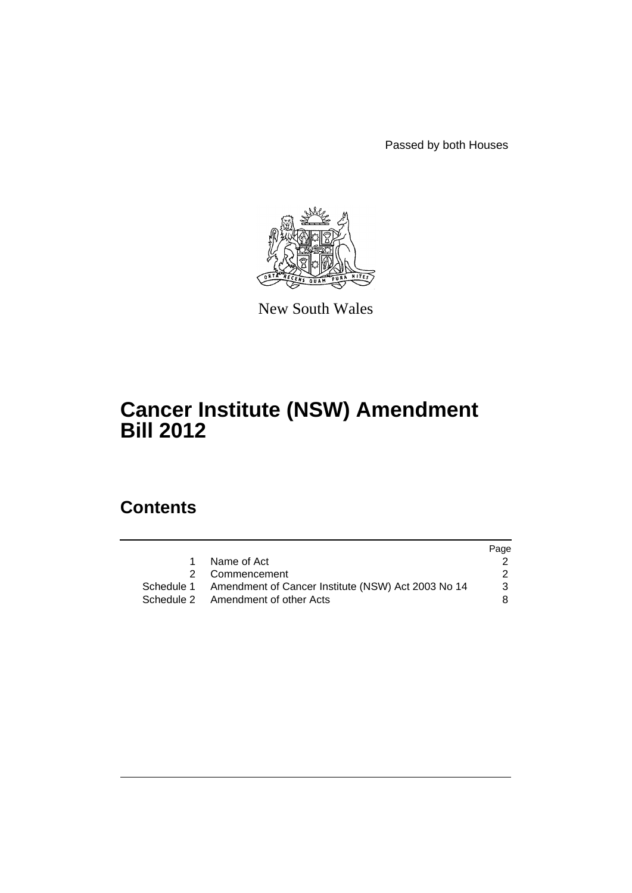Passed by both Houses



New South Wales

# **Cancer Institute (NSW) Amendment Bill 2012**

# **Contents**

|                                                               | Page |
|---------------------------------------------------------------|------|
| Name of Act                                                   |      |
| 2 Commencement                                                | 2    |
| Schedule 1 Amendment of Cancer Institute (NSW) Act 2003 No 14 | 3    |
| Schedule 2 Amendment of other Acts                            | 8.   |
|                                                               |      |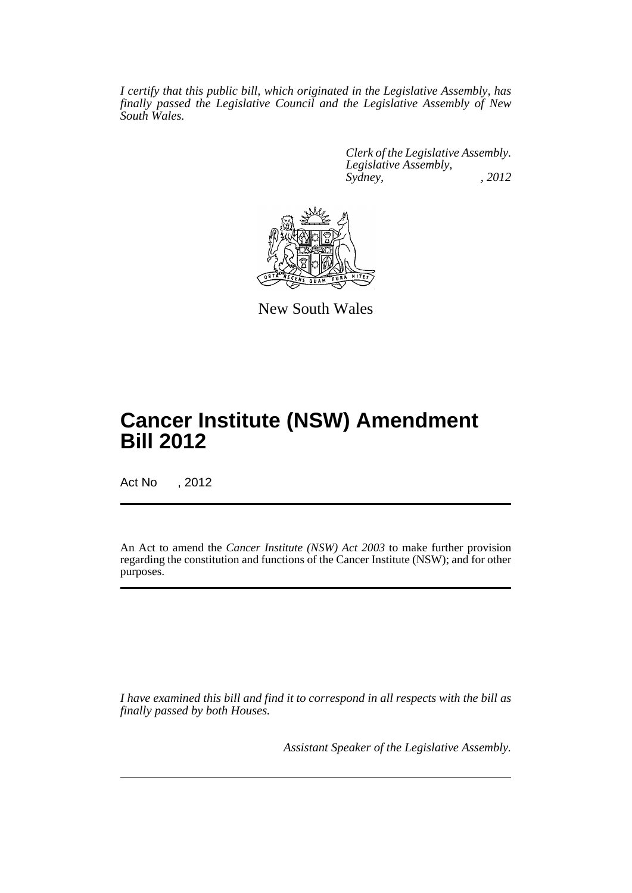*I certify that this public bill, which originated in the Legislative Assembly, has finally passed the Legislative Council and the Legislative Assembly of New South Wales.*

> *Clerk of the Legislative Assembly. Legislative Assembly, Sydney, , 2012*



New South Wales

# **Cancer Institute (NSW) Amendment Bill 2012**

Act No , 2012

An Act to amend the *Cancer Institute (NSW) Act 2003* to make further provision regarding the constitution and functions of the Cancer Institute (NSW); and for other purposes.

*I have examined this bill and find it to correspond in all respects with the bill as finally passed by both Houses.*

*Assistant Speaker of the Legislative Assembly.*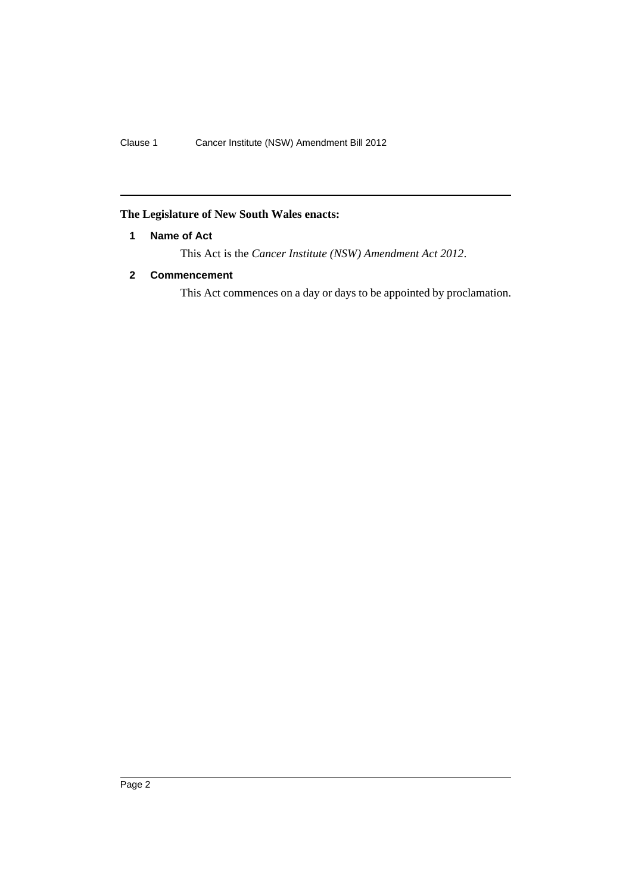## <span id="page-3-0"></span>**The Legislature of New South Wales enacts:**

## **1 Name of Act**

This Act is the *Cancer Institute (NSW) Amendment Act 2012*.

## <span id="page-3-1"></span>**2 Commencement**

This Act commences on a day or days to be appointed by proclamation.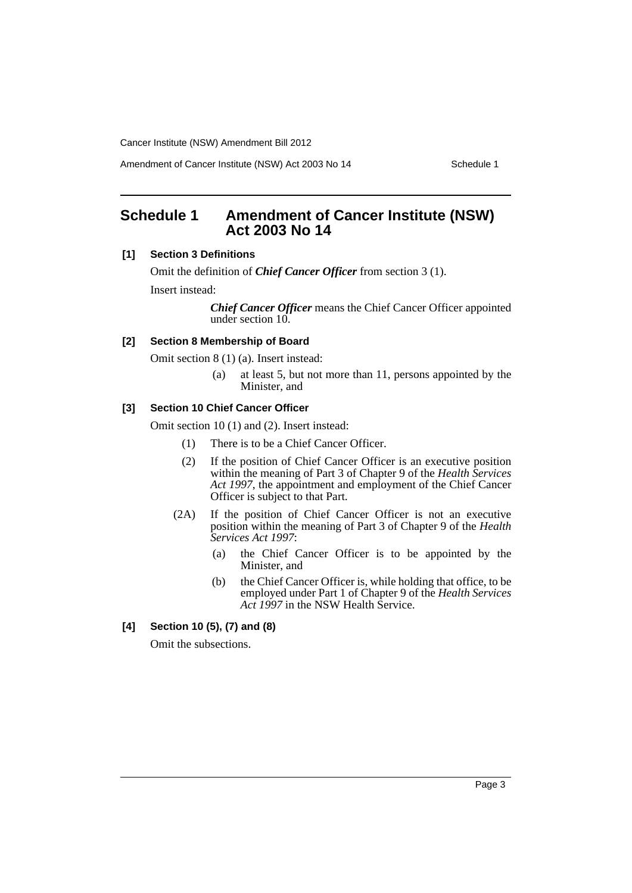Amendment of Cancer Institute (NSW) Act 2003 No 14 Schedule 1

# <span id="page-4-0"></span>**Schedule 1 Amendment of Cancer Institute (NSW) Act 2003 No 14**

## **[1] Section 3 Definitions**

Omit the definition of *Chief Cancer Officer* from section 3 (1). Insert instead:

> *Chief Cancer Officer* means the Chief Cancer Officer appointed under section 10.

## **[2] Section 8 Membership of Board**

Omit section 8 (1) (a). Insert instead:

(a) at least 5, but not more than 11, persons appointed by the Minister, and

#### **[3] Section 10 Chief Cancer Officer**

Omit section 10 (1) and (2). Insert instead:

- (1) There is to be a Chief Cancer Officer.
- (2) If the position of Chief Cancer Officer is an executive position within the meaning of Part 3 of Chapter 9 of the *Health Services Act 1997*, the appointment and employment of the Chief Cancer Officer is subject to that Part.
- (2A) If the position of Chief Cancer Officer is not an executive position within the meaning of Part 3 of Chapter 9 of the *Health Services Act 1997*:
	- (a) the Chief Cancer Officer is to be appointed by the Minister, and
	- (b) the Chief Cancer Officer is, while holding that office, to be employed under Part 1 of Chapter 9 of the *Health Services* Act 1997 in the NSW Health Service.
- **[4] Section 10 (5), (7) and (8)**

Omit the subsections.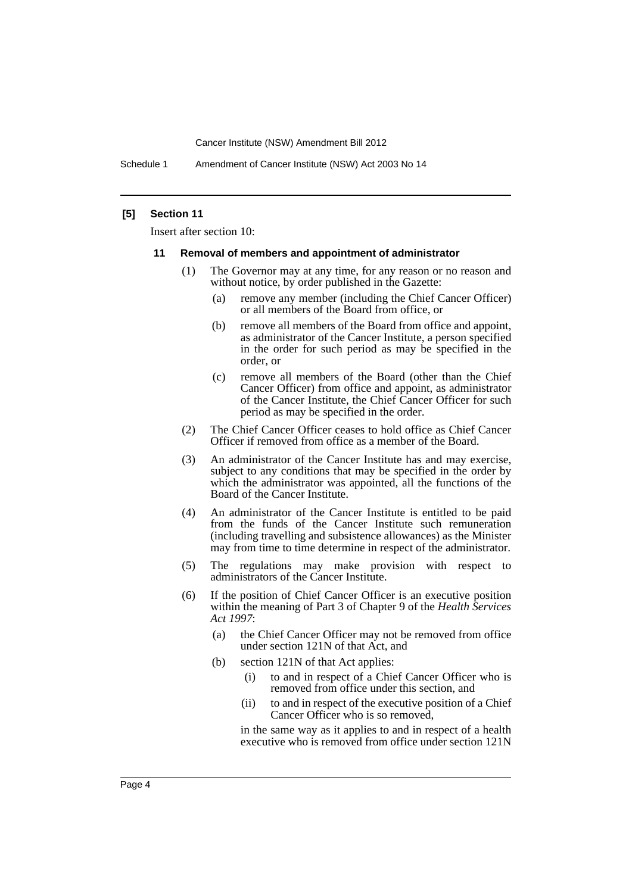Schedule 1 Amendment of Cancer Institute (NSW) Act 2003 No 14

### **[5] Section 11**

Insert after section 10:

#### **11 Removal of members and appointment of administrator**

- (1) The Governor may at any time, for any reason or no reason and without notice, by order published in the Gazette:
	- (a) remove any member (including the Chief Cancer Officer) or all members of the Board from office, or
	- (b) remove all members of the Board from office and appoint, as administrator of the Cancer Institute, a person specified in the order for such period as may be specified in the order, or
	- (c) remove all members of the Board (other than the Chief Cancer Officer) from office and appoint, as administrator of the Cancer Institute, the Chief Cancer Officer for such period as may be specified in the order.
- (2) The Chief Cancer Officer ceases to hold office as Chief Cancer Officer if removed from office as a member of the Board.
- (3) An administrator of the Cancer Institute has and may exercise, subject to any conditions that may be specified in the order by which the administrator was appointed, all the functions of the Board of the Cancer Institute.
- (4) An administrator of the Cancer Institute is entitled to be paid from the funds of the Cancer Institute such remuneration (including travelling and subsistence allowances) as the Minister may from time to time determine in respect of the administrator.
- (5) The regulations may make provision with respect to administrators of the Cancer Institute.
- (6) If the position of Chief Cancer Officer is an executive position within the meaning of Part 3 of Chapter 9 of the *Health Services Act 1997*:
	- (a) the Chief Cancer Officer may not be removed from office under section 121N of that Act, and
	- (b) section 121N of that Act applies:
		- (i) to and in respect of a Chief Cancer Officer who is removed from office under this section, and
		- (ii) to and in respect of the executive position of a Chief Cancer Officer who is so removed,

in the same way as it applies to and in respect of a health executive who is removed from office under section 121N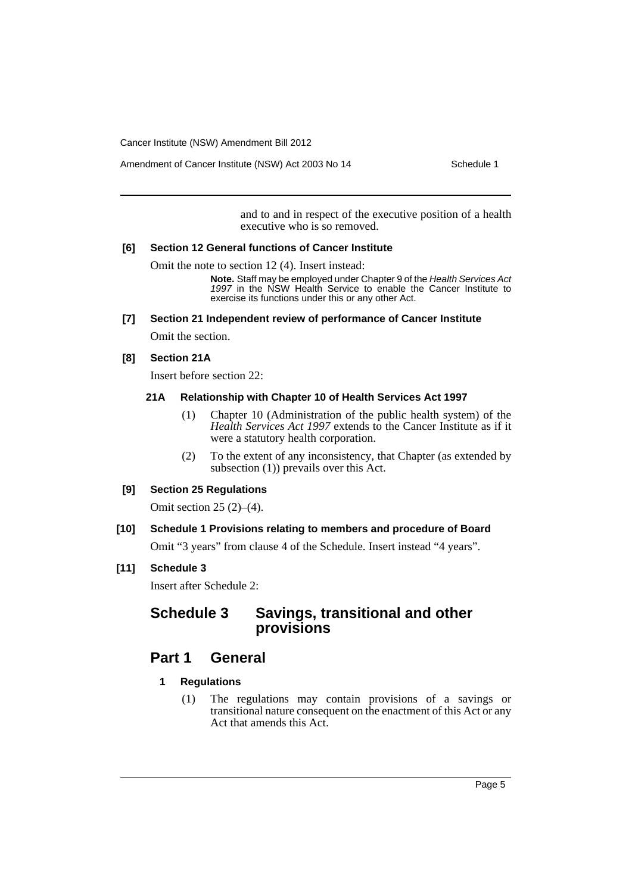Amendment of Cancer Institute (NSW) Act 2003 No 14 Schedule 1

and to and in respect of the executive position of a health executive who is so removed.

#### **[6] Section 12 General functions of Cancer Institute**

Omit the note to section 12 (4). Insert instead:

**Note.** Staff may be employed under Chapter 9 of the *Health Services Act 1997* in the NSW Health Service to enable the Cancer Institute to exercise its functions under this or any other Act.

#### **[7] Section 21 Independent review of performance of Cancer Institute**

Omit the section.

### **[8] Section 21A**

Insert before section 22:

### **21A Relationship with Chapter 10 of Health Services Act 1997**

- (1) Chapter 10 (Administration of the public health system) of the *Health Services Act 1997* extends to the Cancer Institute as if it were a statutory health corporation.
- (2) To the extent of any inconsistency, that Chapter (as extended by subsection (1)) prevails over this Act.

## **[9] Section 25 Regulations**

Omit section 25 (2)–(4).

## **[10] Schedule 1 Provisions relating to members and procedure of Board**

Omit "3 years" from clause 4 of the Schedule. Insert instead "4 years".

## **[11] Schedule 3**

Insert after Schedule 2:

# **Schedule 3 Savings, transitional and other provisions**

# **Part 1 General**

- **1 Regulations**
	- (1) The regulations may contain provisions of a savings or transitional nature consequent on the enactment of this Act or any Act that amends this Act.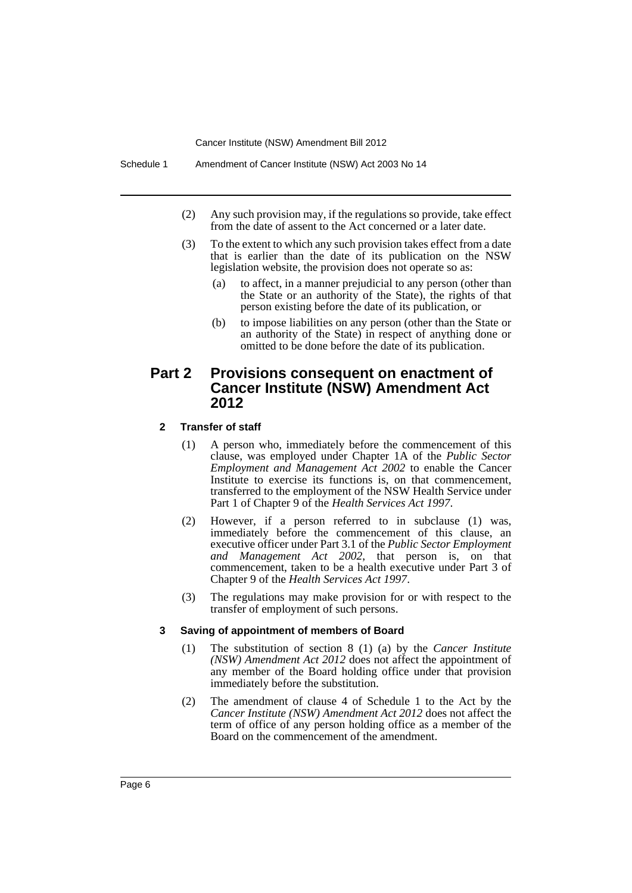- (2) Any such provision may, if the regulations so provide, take effect from the date of assent to the Act concerned or a later date.
- (3) To the extent to which any such provision takes effect from a date that is earlier than the date of its publication on the NSW legislation website, the provision does not operate so as:
	- (a) to affect, in a manner prejudicial to any person (other than the State or an authority of the State), the rights of that person existing before the date of its publication, or
	- (b) to impose liabilities on any person (other than the State or an authority of the State) in respect of anything done or omitted to be done before the date of its publication.

## **Part 2 Provisions consequent on enactment of Cancer Institute (NSW) Amendment Act 2012**

## **2 Transfer of staff**

- (1) A person who, immediately before the commencement of this clause, was employed under Chapter 1A of the *Public Sector Employment and Management Act 2002* to enable the Cancer Institute to exercise its functions is, on that commencement, transferred to the employment of the NSW Health Service under Part 1 of Chapter 9 of the *Health Services Act 1997*.
- (2) However, if a person referred to in subclause (1) was, immediately before the commencement of this clause, an executive officer under Part 3.1 of the *Public Sector Employment and Management Act 2002*, that person is, on that commencement, taken to be a health executive under Part 3 of Chapter 9 of the *Health Services Act 1997*.
- (3) The regulations may make provision for or with respect to the transfer of employment of such persons.

#### **3 Saving of appointment of members of Board**

- (1) The substitution of section 8 (1) (a) by the *Cancer Institute (NSW) Amendment Act 2012* does not affect the appointment of any member of the Board holding office under that provision immediately before the substitution.
- (2) The amendment of clause 4 of Schedule 1 to the Act by the *Cancer Institute (NSW) Amendment Act 2012* does not affect the term of office of any person holding office as a member of the Board on the commencement of the amendment.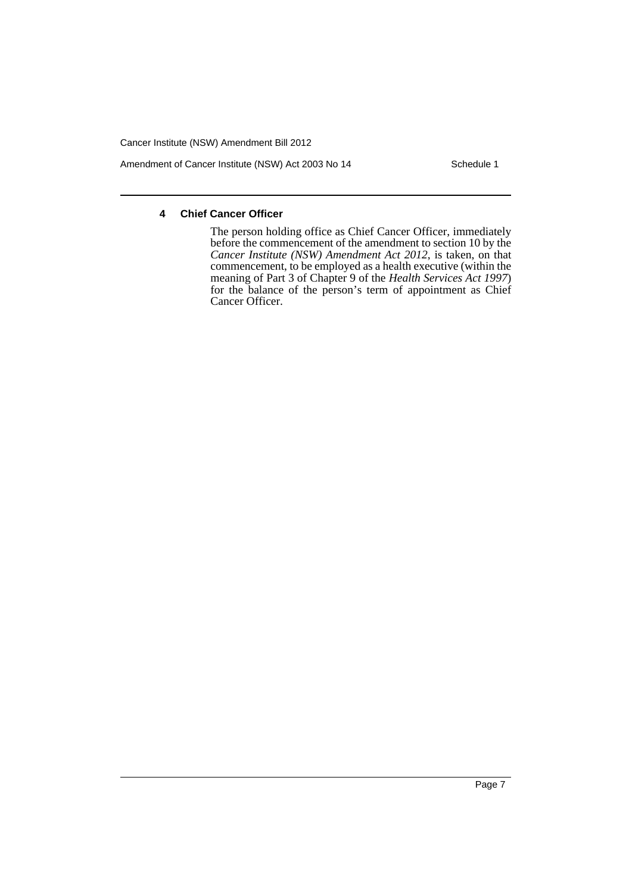Amendment of Cancer Institute (NSW) Act 2003 No 14 Schedule 1

## **4 Chief Cancer Officer**

The person holding office as Chief Cancer Officer, immediately before the commencement of the amendment to section 10 by the *Cancer Institute (NSW) Amendment Act 2012*, is taken, on that commencement, to be employed as a health executive (within the meaning of Part 3 of Chapter 9 of the *Health Services Act 1997*) for the balance of the person's term of appointment as Chief Cancer Officer.